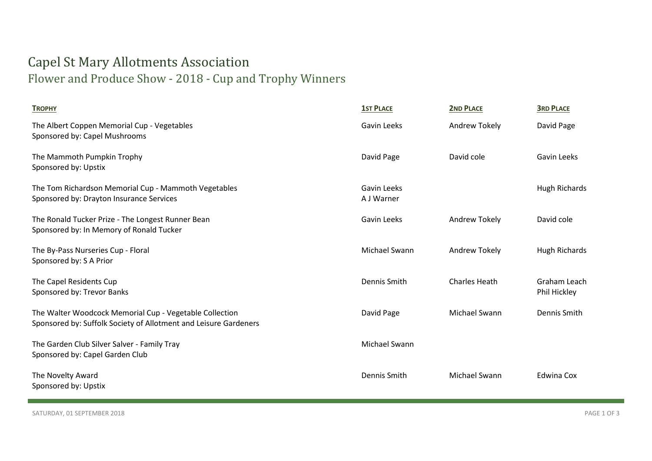## Capel St Mary Allotments Association Flower and Produce Show - 2018 - Cup and Trophy Winners

| <b>TROPHY</b>                                                                                                               | <b>1ST PLACE</b>          | <b>2ND PLACE</b>     | <b>3RD PLACE</b>             |
|-----------------------------------------------------------------------------------------------------------------------------|---------------------------|----------------------|------------------------------|
| The Albert Coppen Memorial Cup - Vegetables<br>Sponsored by: Capel Mushrooms                                                | Gavin Leeks               | Andrew Tokely        | David Page                   |
| The Mammoth Pumpkin Trophy<br>Sponsored by: Upstix                                                                          | David Page                | David cole           | Gavin Leeks                  |
| The Tom Richardson Memorial Cup - Mammoth Vegetables<br>Sponsored by: Drayton Insurance Services                            | Gavin Leeks<br>A J Warner |                      | Hugh Richards                |
| The Ronald Tucker Prize - The Longest Runner Bean<br>Sponsored by: In Memory of Ronald Tucker                               | Gavin Leeks               | Andrew Tokely        | David cole                   |
| The By-Pass Nurseries Cup - Floral<br>Sponsored by: S A Prior                                                               | Michael Swann             | <b>Andrew Tokely</b> | <b>Hugh Richards</b>         |
| The Capel Residents Cup<br>Sponsored by: Trevor Banks                                                                       | Dennis Smith              | <b>Charles Heath</b> | Graham Leach<br>Phil Hickley |
| The Walter Woodcock Memorial Cup - Vegetable Collection<br>Sponsored by: Suffolk Society of Allotment and Leisure Gardeners | David Page                | Michael Swann        | Dennis Smith                 |
| The Garden Club Silver Salver - Family Tray<br>Sponsored by: Capel Garden Club                                              | Michael Swann             |                      |                              |
| The Novelty Award<br>Sponsored by: Upstix                                                                                   | Dennis Smith              | Michael Swann        | Edwina Cox                   |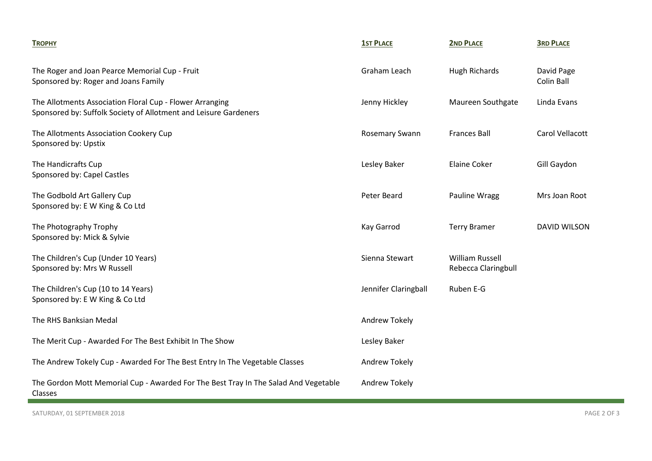| <b>TROPHY</b>                                                                                                                | <b>1ST PLACE</b>      | <b>2ND PLACE</b>                              | <b>3RD PLACE</b>         |
|------------------------------------------------------------------------------------------------------------------------------|-----------------------|-----------------------------------------------|--------------------------|
| The Roger and Joan Pearce Memorial Cup - Fruit<br>Sponsored by: Roger and Joans Family                                       | Graham Leach          | Hugh Richards                                 | David Page<br>Colin Ball |
| The Allotments Association Floral Cup - Flower Arranging<br>Sponsored by: Suffolk Society of Allotment and Leisure Gardeners | Jenny Hickley         | Maureen Southgate                             | Linda Evans              |
| The Allotments Association Cookery Cup<br>Sponsored by: Upstix                                                               | <b>Rosemary Swann</b> | <b>Frances Ball</b>                           | Carol Vellacott          |
| The Handicrafts Cup<br>Sponsored by: Capel Castles                                                                           | Lesley Baker          | <b>Elaine Coker</b>                           | Gill Gaydon              |
| The Godbold Art Gallery Cup<br>Sponsored by: E W King & Co Ltd                                                               | Peter Beard           | Pauline Wragg                                 | Mrs Joan Root            |
| The Photography Trophy<br>Sponsored by: Mick & Sylvie                                                                        | Kay Garrod            | <b>Terry Bramer</b>                           | <b>DAVID WILSON</b>      |
| The Children's Cup (Under 10 Years)<br>Sponsored by: Mrs W Russell                                                           | Sienna Stewart        | <b>William Russell</b><br>Rebecca Claringbull |                          |
| The Children's Cup (10 to 14 Years)<br>Sponsored by: E W King & Co Ltd                                                       | Jennifer Claringball  | Ruben E-G                                     |                          |
| The RHS Banksian Medal                                                                                                       | Andrew Tokely         |                                               |                          |
| The Merit Cup - Awarded For The Best Exhibit In The Show                                                                     | Lesley Baker          |                                               |                          |
| The Andrew Tokely Cup - Awarded For The Best Entry In The Vegetable Classes                                                  | Andrew Tokely         |                                               |                          |
| The Gordon Mott Memorial Cup - Awarded For The Best Tray In The Salad And Vegetable<br>Classes                               | Andrew Tokely         |                                               |                          |